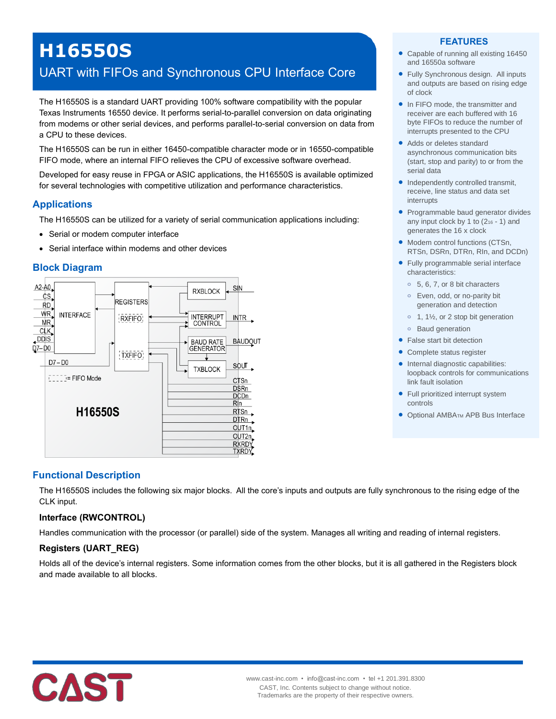# **H16550S**

# UART with FIFOs and Synchronous CPU Interface Core

The H16550S is a standard UART providing 100% software compatibility with the popular Texas Instruments 16550 device. It performs serial-to-parallel conversion on data originating from modems or other serial devices, and performs parallel-to-serial conversion on data from a CPU to these devices.

The H16550S can be run in either 16450-compatible character mode or in 16550-compatible FIFO mode, where an internal FIFO relieves the CPU of excessive software overhead.

Developed for easy reuse in FPGA or ASIC applications, the H16550S is available optimized for several technologies with competitive utilization and performance characteristics.

# **Applications**

The H16550S can be utilized for a variety of serial communication applications including:

- Serial or modem computer interface
- Serial interface within modems and other devices

#### **Block Diagram**



# **Functional Description**

The H16550S includes the following six major blocks. All the core's inputs and outputs are fully synchronous to the rising edge of the CLK input.

#### **Interface (RWCONTROL)**

Handles communication with the processor (or parallel) side of the system. Manages all writing and reading of internal registers.

#### **Registers (UART\_REG)**

Holds all of the device's internal registers. Some information comes from the other blocks, but it is all gathered in the Registers block and made available to all blocks.



#### **FEATURES**

- Capable of running all existing 16450 and 16550a software
- Fully Synchronous design. All inputs and outputs are based on rising edge of clock
- In FIFO mode, the transmitter and receiver are each buffered with 16 byte FIFOs to reduce the number of interrupts presented to the CPU
- Adds or deletes standard asynchronous communication bits (start, stop and parity) to or from the serial data
- Independently controlled transmit, receive, line status and data set interrupts
- Programmable baud generator divides any input clock by 1 to  $(2_{16} - 1)$  and generates the 16 x clock
- Modem control functions (CTSn, RTSn, DSRn, DTRn, RIn, and DCDn)
- Fully programmable serial interface characteristics:
	- **o** 5, 6, 7, or 8 bit characters
	- **o** Even, odd, or no-parity bit generation and detection
	- **o** 1, 1½, or 2 stop bit generation
	- **o** Baud generation
- False start bit detection
- Complete status register
- Internal diagnostic capabilities: loopback controls for communications link fault isolation
- Full prioritized interrupt system controls
- Optional AMBATM APB Bus Interface